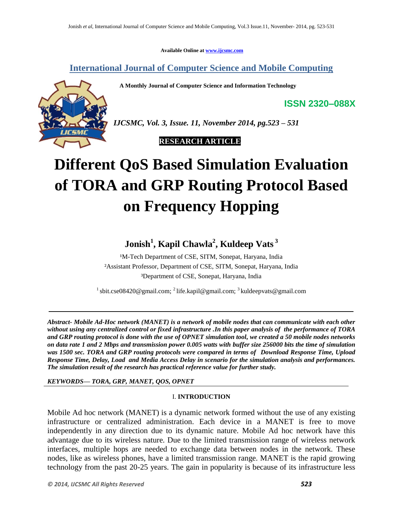**Available Online at www.ijcsmc.com**

**International Journal of Computer Science and Mobile Computing**

 **A Monthly Journal of Computer Science and Information Technology**



*IJCSMC, Vol. 3, Issue. 11, November 2014, pg.523 – 531*

 **RESEARCH ARTICLE**

# **Different QoS Based Simulation Evaluation of TORA and GRP Routing Protocol Based on Frequency Hopping**

# **Jonish<sup>1</sup> , Kapil Chawla<sup>2</sup> , Kuldeep Vats <sup>3</sup>**

<sup>1</sup>M-Tech Department of CSE, SITM, Sonepat, Haryana, India ²Assistant Professor, Department of CSE, SITM, Sonepat, Haryana, India ³Department of CSE, Sonepat, Haryana, India

<sup>1</sup> sbit.cse08420@gmail.com; <sup>2</sup> life.kapil@gmail.com; <sup>3</sup> kuldeepvats@gmail.com

*Abstract- Mobile Ad-Hoc network (MANET) is a network of mobile nodes that can communicate with each other without using any centralized control or fixed infrastructure .In this paper analysis of the performance of TORA and GRP routing protocol is done with the use of OPNET simulation tool, we created a 50 mobile nodes networks on data rate 1 and 2 Mbps and transmission power 0.005 watts with buffer size 256000 bits the time of simulation was 1500 sec. TORA and GRP routing protocols were compared in terms of Download Response Time, Upload Response Time, Delay, Load and Media Access Delay in scenario for the simulation analysis and performances. The simulation result of the research has practical reference value for further study.*

*KEYWORDS— TORA, GRP, MANET, QOS, OPNET*

# I. **INTRODUCTION**

Mobile Ad hoc network (MANET) is a dynamic network formed without the use of any existing infrastructure or centralized administration. Each device in a MANET is free to move independently in any direction due to its dynamic nature. Mobile Ad hoc network have this advantage due to its wireless nature. Due to the limited transmission range of wireless network interfaces, multiple hops are needed to exchange data between nodes in the network. These nodes, like as wireless phones, have a limited transmission range. MANET is the rapid growing technology from the past 20-25 years. The gain in popularity is because of its infrastructure less

**ISSN 2320–088X**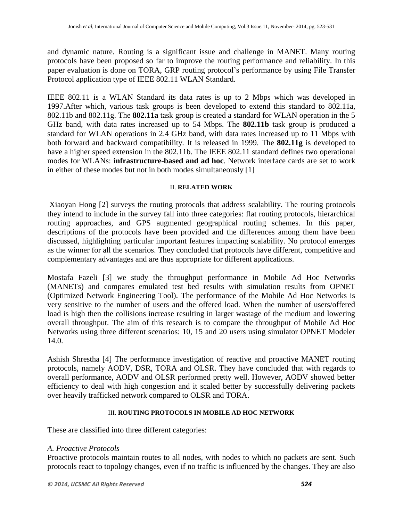and dynamic nature. Routing is a significant issue and challenge in MANET. Many routing protocols have been proposed so far to improve the routing performance and reliability. In this paper evaluation is done on TORA, GRP routing protocol's performance by using File Transfer Protocol application type of IEEE 802.11 WLAN Standard.

IEEE 802.11 is a WLAN Standard its data rates is up to 2 Mbps which was developed in 1997.After which, various task groups is been developed to extend this standard to 802.11a, 802.11b and 802.11g. The **802.11a** task group is created a standard for WLAN operation in the 5 GHz band, with data rates increased up to 54 Mbps. The **802.11b** task group is produced a standard for WLAN operations in 2.4 GHz band, with data rates increased up to 11 Mbps with both forward and backward compatibility. It is released in 1999. The **802.11g** is developed to have a higher speed extension in the 802.11b. The IEEE 802.11 standard defines two operational modes for WLANs: **infrastructure-based and ad hoc**. Network interface cards are set to work in either of these modes but not in both modes simultaneously [1]

#### II. **RELATED WORK**

Xiaoyan Hong [2] surveys the routing protocols that address scalability. The routing protocols they intend to include in the survey fall into three categories: flat routing protocols, hierarchical routing approaches, and GPS augmented geographical routing schemes. In this paper, descriptions of the protocols have been provided and the differences among them have been discussed, highlighting particular important features impacting scalability. No protocol emerges as the winner for all the scenarios. They concluded that protocols have different, competitive and complementary advantages and are thus appropriate for different applications.

Mostafa Fazeli [3] we study the throughput performance in Mobile Ad Hoc Networks (MANETs) and compares emulated test bed results with simulation results from OPNET (Optimized Network Engineering Tool). The performance of the Mobile Ad Hoc Networks is very sensitive to the number of users and the offered load. When the number of users/offered load is high then the collisions increase resulting in larger wastage of the medium and lowering overall throughput. The aim of this research is to compare the throughput of Mobile Ad Hoc Networks using three different scenarios: 10, 15 and 20 users using simulator OPNET Modeler 14.0.

Ashish Shrestha [4] The performance investigation of reactive and proactive MANET routing protocols, namely AODV, DSR, TORA and OLSR. They have concluded that with regards to overall performance, AODV and OLSR performed pretty well. However, AODV showed better efficiency to deal with high congestion and it scaled better by successfully delivering packets over heavily trafficked network compared to OLSR and TORA.

# III. **ROUTING PROTOCOLS IN MOBILE AD HOC NETWORK**

These are classified into three different categories:

# *A. Proactive Protocols*

Proactive protocols maintain routes to all nodes, with nodes to which no packets are sent. Such protocols react to topology changes, even if no traffic is influenced by the changes. They are also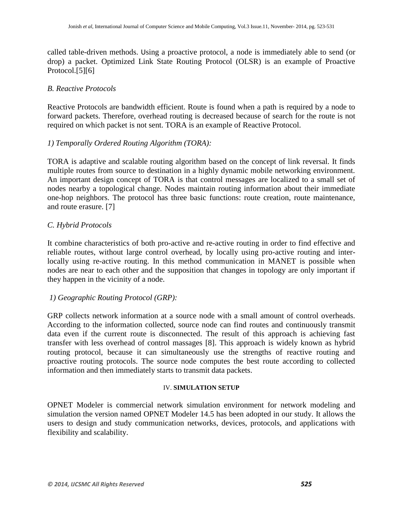called table-driven methods. Using a proactive protocol, a node is immediately able to send (or drop) a packet. Optimized Link State Routing Protocol (OLSR) is an example of Proactive Protocol.[5][6]

# *B. Reactive Protocols*

Reactive Protocols are bandwidth efficient. Route is found when a path is required by a node to forward packets. Therefore, overhead routing is decreased because of search for the route is not required on which packet is not sent. TORA is an example of Reactive Protocol.

# *1) Temporally Ordered Routing Algorithm (TORA):*

TORA is adaptive and scalable routing algorithm based on the concept of link reversal. It finds multiple routes from source to destination in a highly dynamic mobile networking environment. An important design concept of TORA is that control messages are localized to a small set of nodes nearby a topological change. Nodes maintain routing information about their immediate one-hop neighbors. The protocol has three basic functions: route creation, route maintenance, and route erasure. [7]

# *C. Hybrid Protocols*

It combine characteristics of both pro-active and re-active routing in order to find effective and reliable routes, without large control overhead, by locally using pro-active routing and interlocally using re-active routing. In this method communication in MANET is possible when nodes are near to each other and the supposition that changes in topology are only important if they happen in the vicinity of a node.

# *1) Geographic Routing Protocol (GRP):*

GRP collects network information at a source node with a small amount of control overheads. According to the information collected, source node can find routes and continuously transmit data even if the current route is disconnected. The result of this approach is achieving fast transfer with less overhead of control massages [8]. This approach is widely known as hybrid routing protocol, because it can simultaneously use the strengths of reactive routing and proactive routing protocols. The source node computes the best route according to collected information and then immediately starts to transmit data packets.

# IV. **SIMULATION SETUP**

OPNET Modeler is commercial network simulation environment for network modeling and simulation the version named OPNET Modeler 14.5 has been adopted in our study. It allows the users to design and study communication networks, devices, protocols, and applications with flexibility and scalability.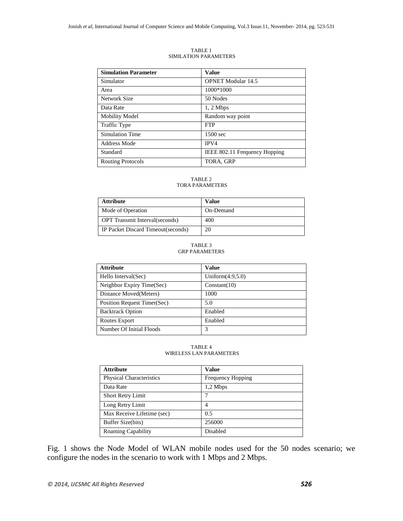| <b>Simulation Parameter</b> | Value                         |
|-----------------------------|-------------------------------|
| Simulator                   | <b>OPNET Modular 14.5</b>     |
| Area                        | 1000*1000                     |
| Network Size                | 50 Nodes                      |
| Data Rate                   | $1, 2$ Mbps                   |
| <b>Mobility Model</b>       | Random way point              |
| <b>Traffic Type</b>         | <b>FTP</b>                    |
| <b>Simulation Time</b>      | 1500 sec                      |
| Address Mode                | IPV4                          |
| Standard                    | IEEE 802.11 Frequency Hopping |
| <b>Routing Protocols</b>    | TORA, GRP                     |

TABLE 1 SIMILATION PARAMETERS

#### TABLE 2 TORA PARAMETERS

| <b>Attribute</b>                      | Value     |
|---------------------------------------|-----------|
| Mode of Operation                     | On-Demand |
| <b>OPT</b> Transmit Interval(seconds) | 400       |
| IP Packet Discard Timeout(seconds)    | 20        |

#### TABLE 3 GRP PARAMETERS

| <b>Attribute</b>            | Value               |
|-----------------------------|---------------------|
| Hello Interval (Sec)        | Uniform $(4.9,5.0)$ |
| Neighbor Expiry Time(Sec)   | Constant(10)        |
| Distance Moved (Meters)     | 1000                |
| Position Request Timer(Sec) | 5.0                 |
| <b>Backtrack Option</b>     | Enabled             |
| Routes Export               | Enabled             |
| Number Of Initial Floods    | 3                   |

#### TABLE 4 WIRELESS LAN PARAMETERS

| <b>Attribute</b>                | Value                    |  |  |  |
|---------------------------------|--------------------------|--|--|--|
| <b>Physical Characteristics</b> | <b>Frequency Hopping</b> |  |  |  |
| Data Rate                       | $1,2$ Mbps               |  |  |  |
| <b>Short Retry Limit</b>        |                          |  |  |  |
| Long Retry Limit                | 4                        |  |  |  |
| Max Receive Lifetime (sec)      | 0.5                      |  |  |  |
| Buffer Size(bits)               | 256000                   |  |  |  |
| <b>Roaming Capability</b>       | Disabled                 |  |  |  |

Fig. 1 shows the Node Model of WLAN mobile nodes used for the 50 nodes scenario; we configure the nodes in the scenario to work with 1 Mbps and 2 Mbps.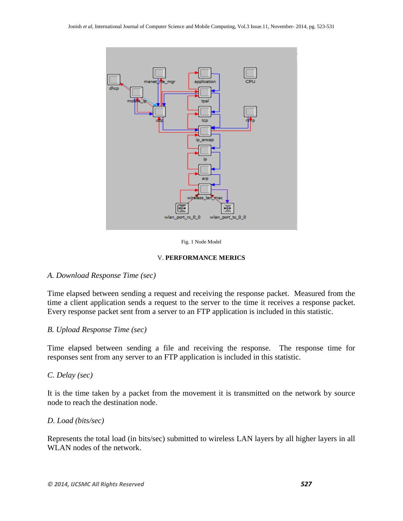

#### Fig. 1 Node Model

#### V. **PERFORMANCE MERICS**

#### *A. Download Response Time (sec)*

Time elapsed between sending a request and receiving the response packet. Measured from the time a client application sends a request to the server to the time it receives a response packet. Every response packet sent from a server to an FTP application is included in this statistic.

# *B. Upload Response Time (sec)*

Time elapsed between sending a file and receiving the response. The response time for responses sent from any server to an FTP application is included in this statistic.

# *C. Delay (sec)*

It is the time taken by a packet from the movement it is transmitted on the network by source node to reach the destination node.

#### *D. Load (bits/sec)*

Represents the total load (in bits/sec) submitted to wireless LAN layers by all higher layers in all WLAN nodes of the network.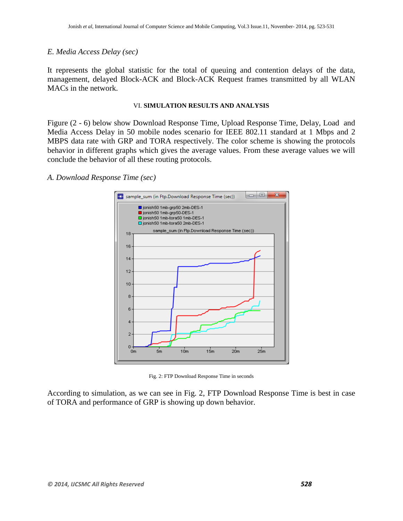# *E. Media Access Delay (sec)*

It represents the global statistic for the total of queuing and contention delays of the data, management, delayed Block-ACK and Block-ACK Request frames transmitted by all WLAN MACs in the network.

#### VI. **SIMULATION RESULTS AND ANALYSIS**

Figure (2 - 6) below show Download Response Time, Upload Response Time, Delay, Load and Media Access Delay in 50 mobile nodes scenario for IEEE 802.11 standard at 1 Mbps and 2 MBPS data rate with GRP and TORA respectively. The color scheme is showing the protocols behavior in different graphs which gives the average values. From these average values we will conclude the behavior of all these routing protocols.

# *A. Download Response Time (sec)*



Fig. 2: FTP Download Response Time in seconds

According to simulation, as we can see in Fig. 2, FTP Download Response Time is best in case of TORA and performance of GRP is showing up down behavior.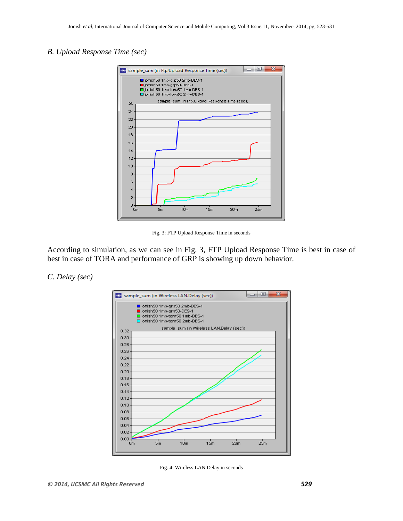# *B. Upload Response Time (sec)*



Fig. 3: FTP Upload Response Time in seconds

According to simulation, as we can see in Fig. 3, FTP Upload Response Time is best in case of best in case of TORA and performance of GRP is showing up down behavior.

#### *C. Delay (sec)*



Fig. 4: Wireless LAN Delay in seconds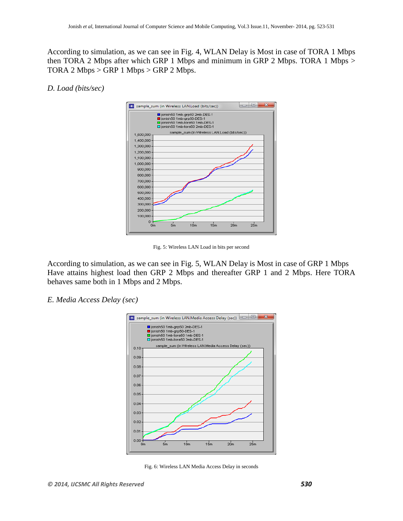According to simulation, as we can see in Fig. 4, WLAN Delay is Most in case of TORA 1 Mbps then TORA 2 Mbps after which GRP 1 Mbps and minimum in GRP 2 Mbps. TORA 1 Mbps > TORA 2 Mbps  $>$  GRP 1 Mbps  $>$  GRP 2 Mbps.

#### *D. Load (bits/sec)*



Fig. 5: Wireless LAN Load in bits per second

According to simulation, as we can see in Fig. 5, WLAN Delay is Most in case of GRP 1 Mbps Have attains highest load then GRP 2 Mbps and thereafter GRP 1 and 2 Mbps. Here TORA behaves same both in 1 Mbps and 2 Mbps.

#### *E. Media Access Delay (sec)*



Fig. 6: Wireless LAN Media Access Delay in seconds